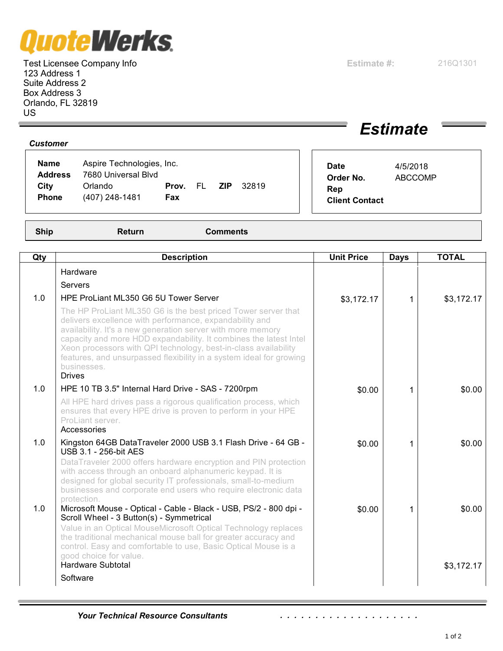## av

Test Licensee Company Info **Estimate #:** 216Q1301 123 Address 1 Suite Address 2 Box Address 3 Orlando, FL 32819 US

## *Estimate*

| <b>Name</b><br><b>Address</b><br>City | Aspire Technologies, Inc.<br>7680 Universal Blvd<br>Orlando | Prov. | <b>ZIP</b><br>EL. | 32819 | <b>Date</b><br>Order No.<br>Rep | 4/5/2018<br><b>ABCCOMP</b> |  |
|---------------------------------------|-------------------------------------------------------------|-------|-------------------|-------|---------------------------------|----------------------------|--|
| <b>Phone</b>                          | (407) 248-1481                                              | Fax   |                   |       |                                 | <b>Client Contact</b>      |  |

*Customer*

**Ship Return Comments**

| Qty | <b>Description</b>                                                                                                                                                                                                                                                                                                                                                                                                                     | <b>Unit Price</b> | <b>Days</b> | <b>TOTAL</b> |
|-----|----------------------------------------------------------------------------------------------------------------------------------------------------------------------------------------------------------------------------------------------------------------------------------------------------------------------------------------------------------------------------------------------------------------------------------------|-------------------|-------------|--------------|
|     | Hardware                                                                                                                                                                                                                                                                                                                                                                                                                               |                   |             |              |
|     | Servers                                                                                                                                                                                                                                                                                                                                                                                                                                |                   |             |              |
| 1.0 | HPE ProLiant ML350 G6 5U Tower Server                                                                                                                                                                                                                                                                                                                                                                                                  | \$3,172.17        | 1           | \$3,172.17   |
|     | The HP ProLiant ML350 G6 is the best priced Tower server that<br>delivers excellence with performance, expandability and<br>availability. It's a new generation server with more memory<br>capacity and more HDD expandability. It combines the latest Intel<br>Xeon processors with QPI technology, best-in-class availability<br>features, and unsurpassed flexibility in a system ideal for growing<br>businesses.<br><b>Drives</b> |                   |             |              |
| 1.0 | HPE 10 TB 3.5" Internal Hard Drive - SAS - 7200rpm                                                                                                                                                                                                                                                                                                                                                                                     | \$0.00            | 1           | \$0.00       |
|     | All HPE hard drives pass a rigorous qualification process, which<br>ensures that every HPE drive is proven to perform in your HPE<br>ProLiant server.<br>Accessories                                                                                                                                                                                                                                                                   |                   |             |              |
| 1.0 | Kingston 64GB DataTraveler 2000 USB 3.1 Flash Drive - 64 GB -<br><b>USB 3.1 - 256-bit AES</b>                                                                                                                                                                                                                                                                                                                                          | \$0.00            | 1           | \$0.00       |
|     | DataTraveler 2000 offers hardware encryption and PIN protection<br>with access through an onboard alphanumeric keypad. It is<br>designed for global security IT professionals, small-to-medium<br>businesses and corporate end users who require electronic data<br>protection.                                                                                                                                                        |                   |             |              |
| 1.0 | Microsoft Mouse - Optical - Cable - Black - USB, PS/2 - 800 dpi -<br>Scroll Wheel - 3 Button(s) - Symmetrical                                                                                                                                                                                                                                                                                                                          | \$0.00            | 1           | \$0.00       |
|     | Value in an Optical MouseMicrosoft Optical Technology replaces<br>the traditional mechanical mouse ball for greater accuracy and<br>control. Easy and comfortable to use, Basic Optical Mouse is a                                                                                                                                                                                                                                     |                   |             |              |
|     | good choice for value.<br><b>Hardware Subtotal</b>                                                                                                                                                                                                                                                                                                                                                                                     |                   |             | \$3,172.17   |
|     | Software                                                                                                                                                                                                                                                                                                                                                                                                                               |                   |             |              |